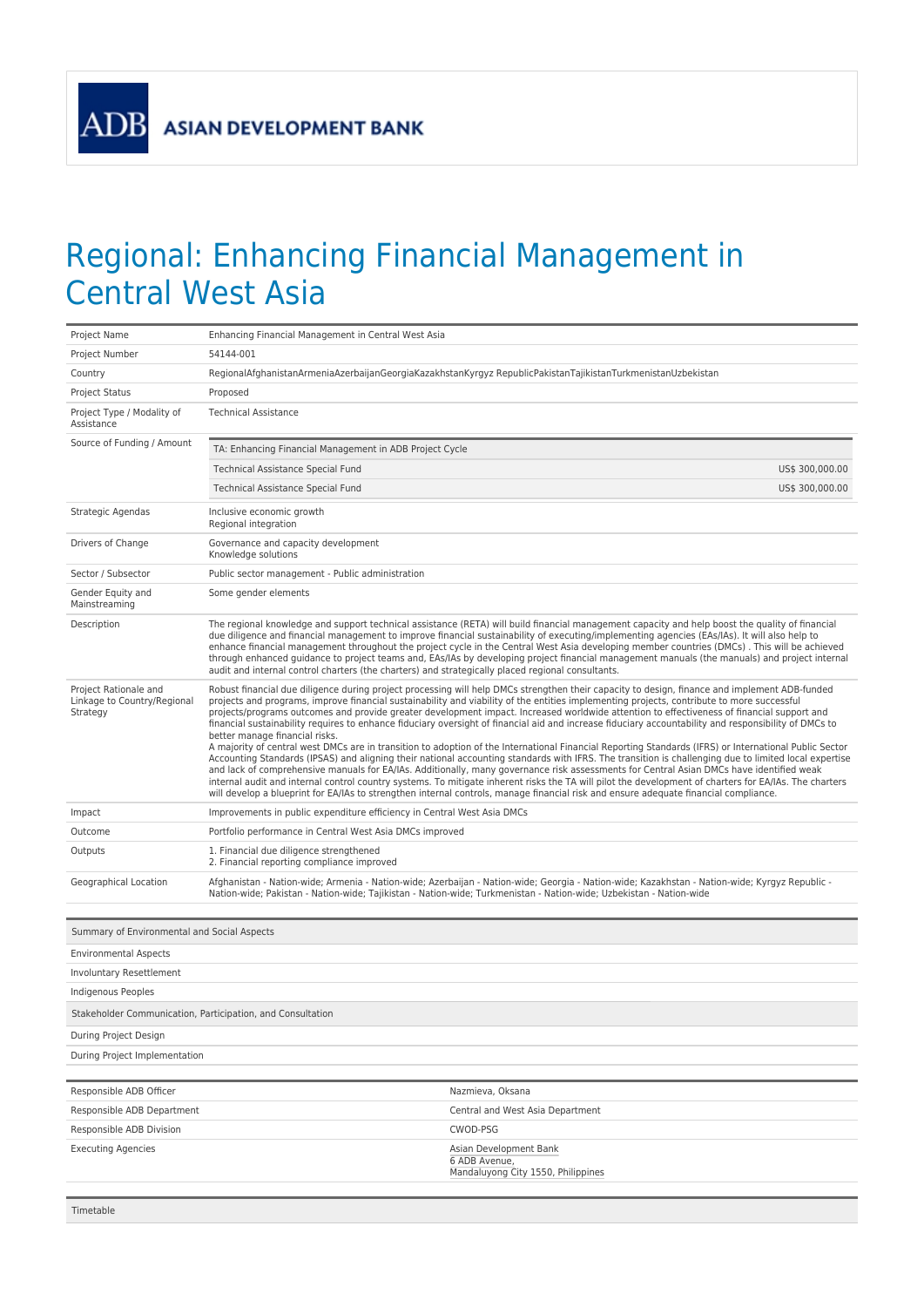## Regional: Enhancing Financial Management in Central West Asia

| Project Name                                                     | Enhancing Financial Management in Central West Asia                                                                                                                                                                                                                                                                                                                                                                                                                                                                                                                                                                                                                                                                                                                                                                                                                                                                                                                                                                                                                                                                                                                                                                                                                                                                                                                                                   |                                                                                                                                                                                                                                                                       |  |
|------------------------------------------------------------------|-------------------------------------------------------------------------------------------------------------------------------------------------------------------------------------------------------------------------------------------------------------------------------------------------------------------------------------------------------------------------------------------------------------------------------------------------------------------------------------------------------------------------------------------------------------------------------------------------------------------------------------------------------------------------------------------------------------------------------------------------------------------------------------------------------------------------------------------------------------------------------------------------------------------------------------------------------------------------------------------------------------------------------------------------------------------------------------------------------------------------------------------------------------------------------------------------------------------------------------------------------------------------------------------------------------------------------------------------------------------------------------------------------|-----------------------------------------------------------------------------------------------------------------------------------------------------------------------------------------------------------------------------------------------------------------------|--|
| Project Number                                                   | 54144-001                                                                                                                                                                                                                                                                                                                                                                                                                                                                                                                                                                                                                                                                                                                                                                                                                                                                                                                                                                                                                                                                                                                                                                                                                                                                                                                                                                                             |                                                                                                                                                                                                                                                                       |  |
| Country                                                          | RegionalAfghanistanArmeniaAzerbaijanGeorgiaKazakhstanKyrgyz RepublicPakistanTajikistanTurkmenistanUzbekistan                                                                                                                                                                                                                                                                                                                                                                                                                                                                                                                                                                                                                                                                                                                                                                                                                                                                                                                                                                                                                                                                                                                                                                                                                                                                                          |                                                                                                                                                                                                                                                                       |  |
| <b>Project Status</b>                                            | Proposed                                                                                                                                                                                                                                                                                                                                                                                                                                                                                                                                                                                                                                                                                                                                                                                                                                                                                                                                                                                                                                                                                                                                                                                                                                                                                                                                                                                              |                                                                                                                                                                                                                                                                       |  |
| Project Type / Modality of<br>Assistance                         | <b>Technical Assistance</b>                                                                                                                                                                                                                                                                                                                                                                                                                                                                                                                                                                                                                                                                                                                                                                                                                                                                                                                                                                                                                                                                                                                                                                                                                                                                                                                                                                           |                                                                                                                                                                                                                                                                       |  |
| Source of Funding / Amount                                       | TA: Enhancing Financial Management in ADB Project Cycle                                                                                                                                                                                                                                                                                                                                                                                                                                                                                                                                                                                                                                                                                                                                                                                                                                                                                                                                                                                                                                                                                                                                                                                                                                                                                                                                               |                                                                                                                                                                                                                                                                       |  |
|                                                                  | <b>Technical Assistance Special Fund</b>                                                                                                                                                                                                                                                                                                                                                                                                                                                                                                                                                                                                                                                                                                                                                                                                                                                                                                                                                                                                                                                                                                                                                                                                                                                                                                                                                              | US\$ 300,000.00                                                                                                                                                                                                                                                       |  |
|                                                                  | <b>Technical Assistance Special Fund</b>                                                                                                                                                                                                                                                                                                                                                                                                                                                                                                                                                                                                                                                                                                                                                                                                                                                                                                                                                                                                                                                                                                                                                                                                                                                                                                                                                              | US\$ 300,000.00                                                                                                                                                                                                                                                       |  |
| Strategic Agendas                                                | Inclusive economic growth<br>Regional integration                                                                                                                                                                                                                                                                                                                                                                                                                                                                                                                                                                                                                                                                                                                                                                                                                                                                                                                                                                                                                                                                                                                                                                                                                                                                                                                                                     |                                                                                                                                                                                                                                                                       |  |
| Drivers of Change                                                | Governance and capacity development<br>Knowledge solutions                                                                                                                                                                                                                                                                                                                                                                                                                                                                                                                                                                                                                                                                                                                                                                                                                                                                                                                                                                                                                                                                                                                                                                                                                                                                                                                                            |                                                                                                                                                                                                                                                                       |  |
| Sector / Subsector                                               | Public sector management - Public administration                                                                                                                                                                                                                                                                                                                                                                                                                                                                                                                                                                                                                                                                                                                                                                                                                                                                                                                                                                                                                                                                                                                                                                                                                                                                                                                                                      |                                                                                                                                                                                                                                                                       |  |
| Gender Equity and<br>Mainstreaming                               | Some gender elements                                                                                                                                                                                                                                                                                                                                                                                                                                                                                                                                                                                                                                                                                                                                                                                                                                                                                                                                                                                                                                                                                                                                                                                                                                                                                                                                                                                  |                                                                                                                                                                                                                                                                       |  |
| Description                                                      | The regional knowledge and support technical assistance (RETA) will build financial management capacity and help boost the quality of financial<br>due diligence and financial management to improve financial sustainability of executing/implementing agencies (EAs/IAs). It will also help to<br>enhance financial management throughout the project cycle in the Central West Asia developing member countries (DMCs). This will be achieved<br>through enhanced guidance to project teams and, EAs/IAs by developing project financial management manuals (the manuals) and project internal<br>audit and internal control charters (the charters) and strategically placed regional consultants.                                                                                                                                                                                                                                                                                                                                                                                                                                                                                                                                                                                                                                                                                                |                                                                                                                                                                                                                                                                       |  |
| Project Rationale and<br>Linkage to Country/Regional<br>Strategy | Robust financial due diligence during project processing will help DMCs strengthen their capacity to design, finance and implement ADB-funded<br>projects and programs, improve financial sustainability and viability of the entities implementing projects, contribute to more successful<br>projects/programs outcomes and provide greater development impact. Increased worldwide attention to effectiveness of financial support and<br>financial sustainability requires to enhance fiduciary oversight of financial aid and increase fiduciary accountability and responsibility of DMCs to<br>better manage financial risks.<br>A majority of central west DMCs are in transition to adoption of the International Financial Reporting Standards (IFRS) or International Public Sector<br>Accounting Standards (IPSAS) and aligning their national accounting standards with IFRS. The transition is challenging due to limited local expertise<br>and lack of comprehensive manuals for EA/IAs. Additionally, many governance risk assessments for Central Asian DMCs have identified weak<br>internal audit and internal control country systems. To mitigate inherent risks the TA will pilot the development of charters for EA/IAs. The charters<br>will develop a blueprint for EA/IAs to strengthen internal controls, manage financial risk and ensure adequate financial compliance. |                                                                                                                                                                                                                                                                       |  |
| Impact                                                           | Improvements in public expenditure efficiency in Central West Asia DMCs                                                                                                                                                                                                                                                                                                                                                                                                                                                                                                                                                                                                                                                                                                                                                                                                                                                                                                                                                                                                                                                                                                                                                                                                                                                                                                                               |                                                                                                                                                                                                                                                                       |  |
| Outcome                                                          | Portfolio performance in Central West Asia DMCs improved                                                                                                                                                                                                                                                                                                                                                                                                                                                                                                                                                                                                                                                                                                                                                                                                                                                                                                                                                                                                                                                                                                                                                                                                                                                                                                                                              |                                                                                                                                                                                                                                                                       |  |
| Outputs                                                          | 1. Financial due diligence strengthened<br>2. Financial reporting compliance improved                                                                                                                                                                                                                                                                                                                                                                                                                                                                                                                                                                                                                                                                                                                                                                                                                                                                                                                                                                                                                                                                                                                                                                                                                                                                                                                 |                                                                                                                                                                                                                                                                       |  |
| Geographical Location                                            |                                                                                                                                                                                                                                                                                                                                                                                                                                                                                                                                                                                                                                                                                                                                                                                                                                                                                                                                                                                                                                                                                                                                                                                                                                                                                                                                                                                                       | Afghanistan - Nation-wide; Armenia - Nation-wide; Azerbaijan - Nation-wide; Georgia - Nation-wide; Kazakhstan - Nation-wide; Kyrgyz Republic -<br>Nation-wide; Pakistan - Nation-wide; Tajikistan - Nation-wide; Turkmenistan - Nation-wide; Uzbekistan - Nation-wide |  |
|                                                                  |                                                                                                                                                                                                                                                                                                                                                                                                                                                                                                                                                                                                                                                                                                                                                                                                                                                                                                                                                                                                                                                                                                                                                                                                                                                                                                                                                                                                       |                                                                                                                                                                                                                                                                       |  |
| Summary of Environmental and Social Aspects                      |                                                                                                                                                                                                                                                                                                                                                                                                                                                                                                                                                                                                                                                                                                                                                                                                                                                                                                                                                                                                                                                                                                                                                                                                                                                                                                                                                                                                       |                                                                                                                                                                                                                                                                       |  |
| <b>Environmental Aspects</b>                                     |                                                                                                                                                                                                                                                                                                                                                                                                                                                                                                                                                                                                                                                                                                                                                                                                                                                                                                                                                                                                                                                                                                                                                                                                                                                                                                                                                                                                       |                                                                                                                                                                                                                                                                       |  |
| Involuntary Resettlement                                         |                                                                                                                                                                                                                                                                                                                                                                                                                                                                                                                                                                                                                                                                                                                                                                                                                                                                                                                                                                                                                                                                                                                                                                                                                                                                                                                                                                                                       |                                                                                                                                                                                                                                                                       |  |
| Indigenous Peoples                                               |                                                                                                                                                                                                                                                                                                                                                                                                                                                                                                                                                                                                                                                                                                                                                                                                                                                                                                                                                                                                                                                                                                                                                                                                                                                                                                                                                                                                       |                                                                                                                                                                                                                                                                       |  |
| Stakeholder Communication, Participation, and Consultation       |                                                                                                                                                                                                                                                                                                                                                                                                                                                                                                                                                                                                                                                                                                                                                                                                                                                                                                                                                                                                                                                                                                                                                                                                                                                                                                                                                                                                       |                                                                                                                                                                                                                                                                       |  |
| During Project Design                                            |                                                                                                                                                                                                                                                                                                                                                                                                                                                                                                                                                                                                                                                                                                                                                                                                                                                                                                                                                                                                                                                                                                                                                                                                                                                                                                                                                                                                       |                                                                                                                                                                                                                                                                       |  |
| During Project Implementation                                    |                                                                                                                                                                                                                                                                                                                                                                                                                                                                                                                                                                                                                                                                                                                                                                                                                                                                                                                                                                                                                                                                                                                                                                                                                                                                                                                                                                                                       |                                                                                                                                                                                                                                                                       |  |
| Responsible ADB Officer                                          |                                                                                                                                                                                                                                                                                                                                                                                                                                                                                                                                                                                                                                                                                                                                                                                                                                                                                                                                                                                                                                                                                                                                                                                                                                                                                                                                                                                                       | Nazmieva, Oksana                                                                                                                                                                                                                                                      |  |
| Responsible ADB Department                                       |                                                                                                                                                                                                                                                                                                                                                                                                                                                                                                                                                                                                                                                                                                                                                                                                                                                                                                                                                                                                                                                                                                                                                                                                                                                                                                                                                                                                       | Central and West Asia Department                                                                                                                                                                                                                                      |  |
| Responsible ADB Division                                         |                                                                                                                                                                                                                                                                                                                                                                                                                                                                                                                                                                                                                                                                                                                                                                                                                                                                                                                                                                                                                                                                                                                                                                                                                                                                                                                                                                                                       | CWOD-PSG                                                                                                                                                                                                                                                              |  |
| <b>Executing Agencies</b>                                        |                                                                                                                                                                                                                                                                                                                                                                                                                                                                                                                                                                                                                                                                                                                                                                                                                                                                                                                                                                                                                                                                                                                                                                                                                                                                                                                                                                                                       | Asian Development Bank<br>6 ADB Avenue,<br>Mandaluyong City 1550, Philippines                                                                                                                                                                                         |  |
| Timetable                                                        |                                                                                                                                                                                                                                                                                                                                                                                                                                                                                                                                                                                                                                                                                                                                                                                                                                                                                                                                                                                                                                                                                                                                                                                                                                                                                                                                                                                                       |                                                                                                                                                                                                                                                                       |  |